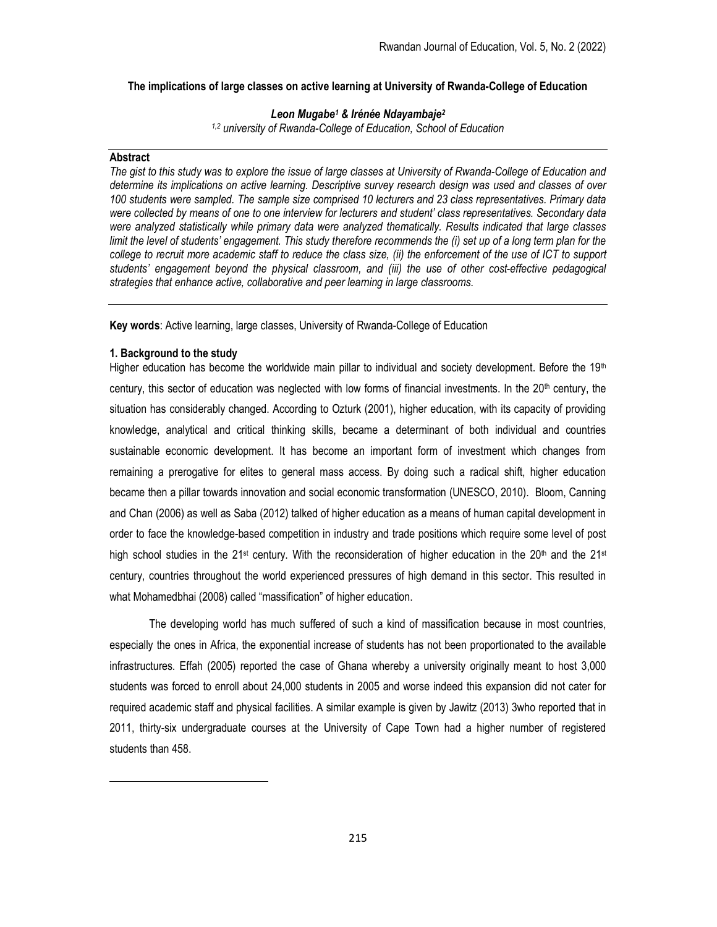### The implications of large classes on active learning at University of Rwanda-College of Education

# Leon Mugabe<sup>1</sup> & Irénée Ndayambaje<sup>2</sup>

1,2 university of Rwanda-College of Education, School of Education

### **Abstract**

The gist to this study was to explore the issue of large classes at University of Rwanda-College of Education and determine its implications on active learning. Descriptive survey research design was used and classes of over 100 students were sampled. The sample size comprised 10 lecturers and 23 class representatives. Primary data were collected by means of one to one interview for lecturers and student' class representatives. Secondary data were analyzed statistically while primary data were analyzed thematically. Results indicated that large classes limit the level of students' engagement. This study therefore recommends the (i) set up of a long term plan for the college to recruit more academic staff to reduce the class size, (ii) the enforcement of the use of ICT to support students' engagement beyond the physical classroom, and (iii) the use of other cost-effective pedagogical strategies that enhance active, collaborative and peer learning in large classrooms.

Key words: Active learning, large classes, University of Rwanda-College of Education

# 1. Background to the study

Higher education has become the worldwide main pillar to individual and society development. Before the  $19<sup>th</sup>$ century, this sector of education was neglected with low forms of financial investments. In the 20th century, the situation has considerably changed. According to Ozturk (2001), higher education, with its capacity of providing knowledge, analytical and critical thinking skills, became a determinant of both individual and countries sustainable economic development. It has become an important form of investment which changes from remaining a prerogative for elites to general mass access. By doing such a radical shift, higher education became then a pillar towards innovation and social economic transformation (UNESCO, 2010). Bloom, Canning and Chan (2006) as well as Saba (2012) talked of higher education as a means of human capital development in order to face the knowledge-based competition in industry and trade positions which require some level of post high school studies in the 21<sup>st</sup> century. With the reconsideration of higher education in the 20<sup>th</sup> and the 21<sup>st</sup> century, countries throughout the world experienced pressures of high demand in this sector. This resulted in what Mohamedbhai (2008) called "massification" of higher education.

The developing world has much suffered of such a kind of massification because in most countries, especially the ones in Africa, the exponential increase of students has not been proportionated to the available infrastructures. Effah (2005) reported the case of Ghana whereby a university originally meant to host 3,000 students was forced to enroll about 24,000 students in 2005 and worse indeed this expansion did not cater for required academic staff and physical facilities. A similar example is given by Jawitz (2013) 3who reported that in 2011, thirty-six undergraduate courses at the University of Cape Town had a higher number of registered students than 458.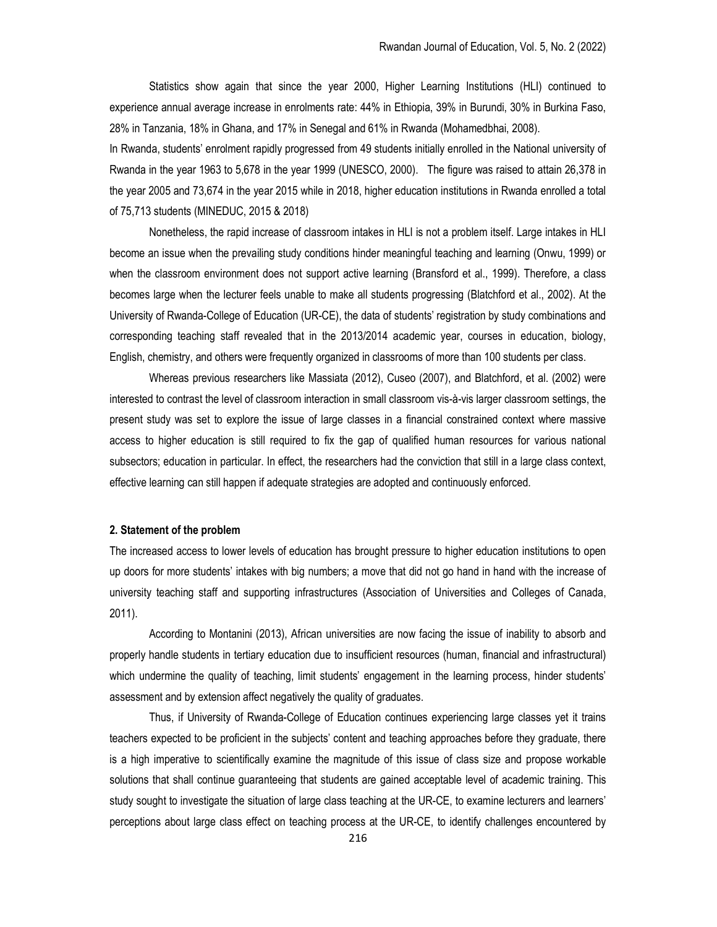Statistics show again that since the year 2000, Higher Learning Institutions (HLI) continued to experience annual average increase in enrolments rate: 44% in Ethiopia, 39% in Burundi, 30% in Burkina Faso, 28% in Tanzania, 18% in Ghana, and 17% in Senegal and 61% in Rwanda (Mohamedbhai, 2008).

In Rwanda, students' enrolment rapidly progressed from 49 students initially enrolled in the National university of Rwanda in the year 1963 to 5,678 in the year 1999 (UNESCO, 2000). The figure was raised to attain 26,378 in the year 2005 and 73,674 in the year 2015 while in 2018, higher education institutions in Rwanda enrolled a total of 75,713 students (MINEDUC, 2015 & 2018)

Nonetheless, the rapid increase of classroom intakes in HLI is not a problem itself. Large intakes in HLI become an issue when the prevailing study conditions hinder meaningful teaching and learning (Onwu, 1999) or when the classroom environment does not support active learning (Bransford et al., 1999). Therefore, a class becomes large when the lecturer feels unable to make all students progressing (Blatchford et al., 2002). At the University of Rwanda-College of Education (UR-CE), the data of students' registration by study combinations and corresponding teaching staff revealed that in the 2013/2014 academic year, courses in education, biology, English, chemistry, and others were frequently organized in classrooms of more than 100 students per class.

Whereas previous researchers like Massiata (2012), Cuseo (2007), and Blatchford, et al. (2002) were interested to contrast the level of classroom interaction in small classroom vis-à-vis larger classroom settings, the present study was set to explore the issue of large classes in a financial constrained context where massive access to higher education is still required to fix the gap of qualified human resources for various national subsectors; education in particular. In effect, the researchers had the conviction that still in a large class context, effective learning can still happen if adequate strategies are adopted and continuously enforced.

### 2. Statement of the problem

The increased access to lower levels of education has brought pressure to higher education institutions to open up doors for more students' intakes with big numbers; a move that did not go hand in hand with the increase of university teaching staff and supporting infrastructures (Association of Universities and Colleges of Canada, 2011).

According to Montanini (2013), African universities are now facing the issue of inability to absorb and properly handle students in tertiary education due to insufficient resources (human, financial and infrastructural) which undermine the quality of teaching, limit students' engagement in the learning process, hinder students' assessment and by extension affect negatively the quality of graduates.

Thus, if University of Rwanda-College of Education continues experiencing large classes yet it trains teachers expected to be proficient in the subjects' content and teaching approaches before they graduate, there is a high imperative to scientifically examine the magnitude of this issue of class size and propose workable solutions that shall continue guaranteeing that students are gained acceptable level of academic training. This study sought to investigate the situation of large class teaching at the UR-CE, to examine lecturers and learners' perceptions about large class effect on teaching process at the UR-CE, to identify challenges encountered by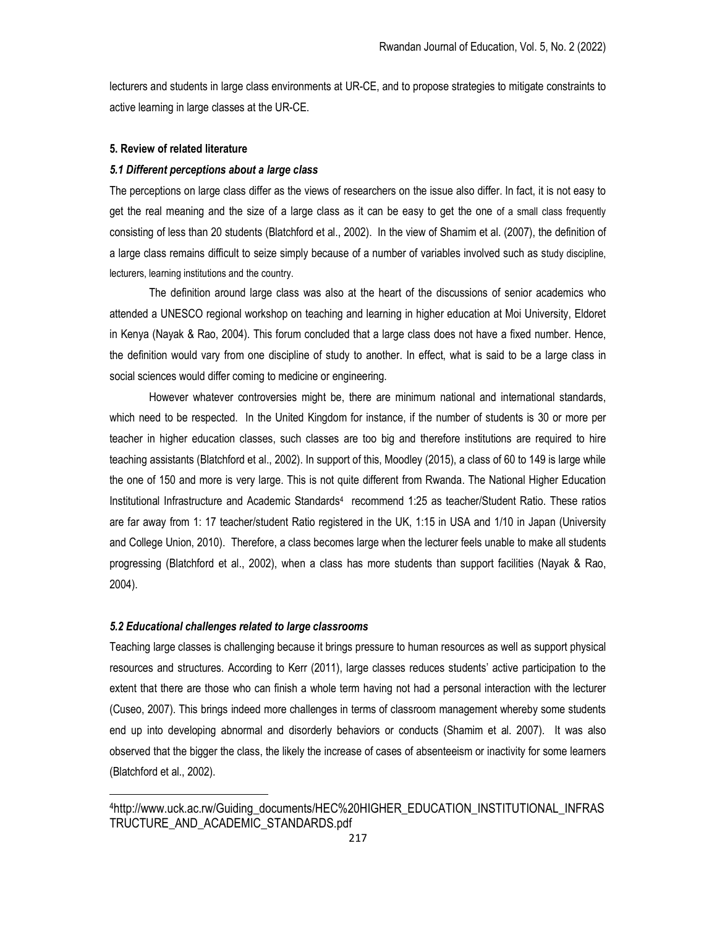lecturers and students in large class environments at UR-CE, and to propose strategies to mitigate constraints to active learning in large classes at the UR-CE.

## 5. Review of related literature

## 5.1 Different perceptions about a large class

The perceptions on large class differ as the views of researchers on the issue also differ. In fact, it is not easy to get the real meaning and the size of a large class as it can be easy to get the one of a small class frequently consisting of less than 20 students (Blatchford et al., 2002). In the view of Shamim et al. (2007), the definition of a large class remains difficult to seize simply because of a number of variables involved such as study discipline, lecturers, learning institutions and the country.

The definition around large class was also at the heart of the discussions of senior academics who attended a UNESCO regional workshop on teaching and learning in higher education at Moi University, Eldoret in Kenya (Nayak & Rao, 2004). This forum concluded that a large class does not have a fixed number. Hence, the definition would vary from one discipline of study to another. In effect, what is said to be a large class in social sciences would differ coming to medicine or engineering.

However whatever controversies might be, there are minimum national and international standards, which need to be respected. In the United Kingdom for instance, if the number of students is 30 or more per teacher in higher education classes, such classes are too big and therefore institutions are required to hire teaching assistants (Blatchford et al., 2002). In support of this, Moodley (2015), a class of 60 to 149 is large while the one of 150 and more is very large. This is not quite different from Rwanda. The National Higher Education Institutional Infrastructure and Academic Standards<sup>4</sup> recommend 1:25 as teacher/Student Ratio. These ratios are far away from 1: 17 teacher/student Ratio registered in the UK, 1:15 in USA and 1/10 in Japan (University and College Union, 2010). Therefore, a class becomes large when the lecturer feels unable to make all students progressing (Blatchford et al., 2002), when a class has more students than support facilities (Nayak & Rao, 2004).

# 5.2 Educational challenges related to large classrooms

Teaching large classes is challenging because it brings pressure to human resources as well as support physical resources and structures. According to Kerr (2011), large classes reduces students' active participation to the extent that there are those who can finish a whole term having not had a personal interaction with the lecturer (Cuseo, 2007). This brings indeed more challenges in terms of classroom management whereby some students end up into developing abnormal and disorderly behaviors or conducts (Shamim et al. 2007). It was also observed that the bigger the class, the likely the increase of cases of absenteeism or inactivity for some learners (Blatchford et al., 2002).

<sup>4</sup>http://www.uck.ac.rw/Guiding\_documents/HEC%20HIGHER\_EDUCATION\_INSTITUTIONAL\_INFRAS TRUCTURE\_AND\_ACADEMIC\_STANDARDS.pdf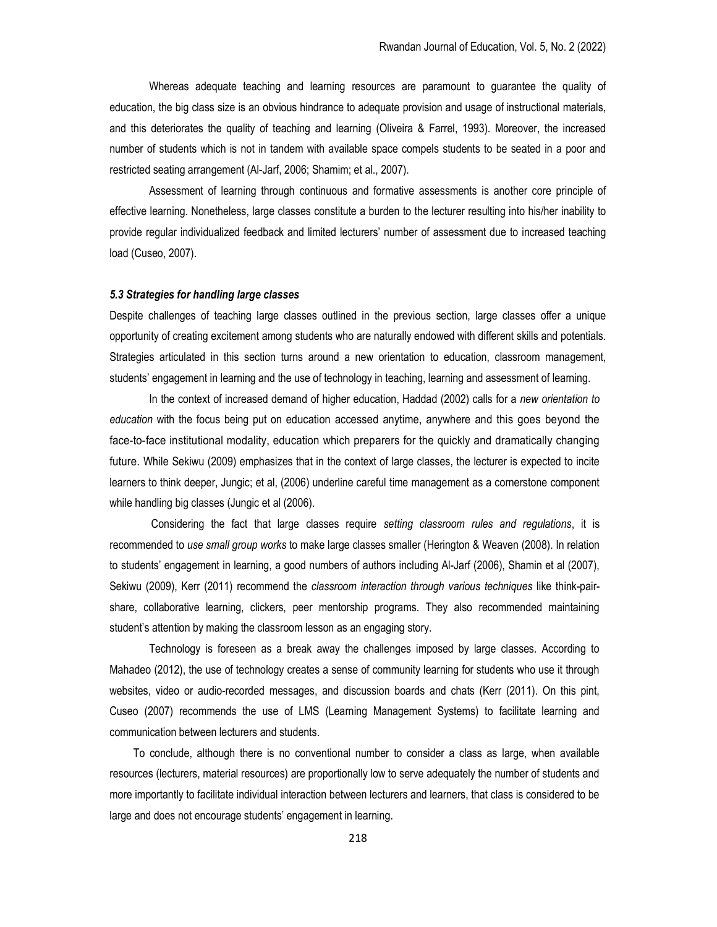Whereas adequate teaching and learning resources are paramount to guarantee the quality of education, the big class size is an obvious hindrance to adequate provision and usage of instructional materials, and this deteriorates the quality of teaching and learning (Oliveira & Farrel, 1993). Moreover, the increased number of students which is not in tandem with available space compels students to be seated in a poor and restricted seating arrangement (Al-Jarf, 2006; Shamim; et al., 2007).

Assessment of learning through continuous and formative assessments is another core principle of effective learning. Nonetheless, large classes constitute a burden to the lecturer resulting into his/her inability to provide regular individualized feedback and limited lecturers' number of assessment due to increased teaching load (Cuseo, 2007).

### 5.3 Strategies for handling large classes

Despite challenges of teaching large classes outlined in the previous section, large classes offer a unique opportunity of creating excitement among students who are naturally endowed with different skills and potentials. Strategies articulated in this section turns around a new orientation to education, classroom management, students' engagement in learning and the use of technology in teaching, learning and assessment of learning.

In the context of increased demand of higher education, Haddad (2002) calls for a new orientation to education with the focus being put on education accessed anytime, anywhere and this goes beyond the face-to-face institutional modality, education which preparers for the quickly and dramatically changing future. While Sekiwu (2009) emphasizes that in the context of large classes, the lecturer is expected to incite learners to think deeper, Jungic; et al, (2006) underline careful time management as a cornerstone component while handling big classes (Jungic et al (2006).

 Considering the fact that large classes require setting classroom rules and regulations, it is recommended to use small group works to make large classes smaller (Herington & Weaven (2008). In relation to students' engagement in learning, a good numbers of authors including Al-Jarf (2006), Shamin et al (2007), Sekiwu (2009), Kerr (2011) recommend the classroom interaction through various techniques like think-pairshare, collaborative learning, clickers, peer mentorship programs. They also recommended maintaining student's attention by making the classroom lesson as an engaging story.

Technology is foreseen as a break away the challenges imposed by large classes. According to Mahadeo (2012), the use of technology creates a sense of community learning for students who use it through websites, video or audio-recorded messages, and discussion boards and chats (Kerr (2011). On this pint, Cuseo (2007) recommends the use of LMS (Learning Management Systems) to facilitate learning and communication between lecturers and students.

To conclude, although there is no conventional number to consider a class as large, when available resources (lecturers, material resources) are proportionally low to serve adequately the number of students and more importantly to facilitate individual interaction between lecturers and learners, that class is considered to be large and does not encourage students' engagement in learning.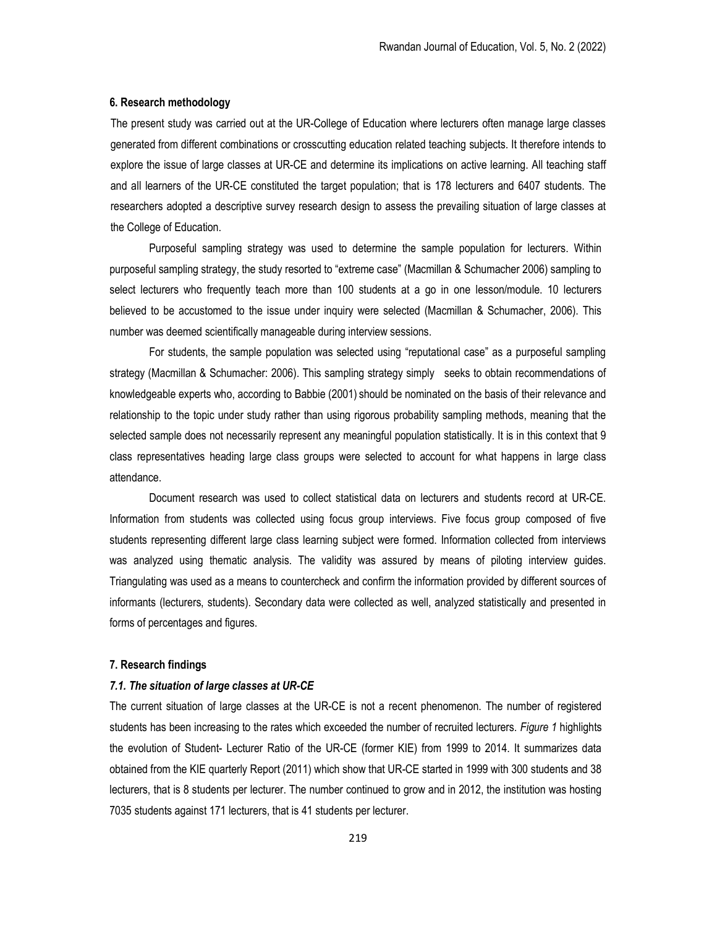### 6. Research methodology

The present study was carried out at the UR-College of Education where lecturers often manage large classes generated from different combinations or crosscutting education related teaching subjects. It therefore intends to explore the issue of large classes at UR-CE and determine its implications on active learning. All teaching staff and all learners of the UR-CE constituted the target population; that is 178 lecturers and 6407 students. The researchers adopted a descriptive survey research design to assess the prevailing situation of large classes at the College of Education.

Purposeful sampling strategy was used to determine the sample population for lecturers. Within purposeful sampling strategy, the study resorted to "extreme case" (Macmillan & Schumacher 2006) sampling to select lecturers who frequently teach more than 100 students at a go in one lesson/module. 10 lecturers believed to be accustomed to the issue under inquiry were selected (Macmillan & Schumacher, 2006). This number was deemed scientifically manageable during interview sessions.

For students, the sample population was selected using "reputational case" as a purposeful sampling strategy (Macmillan & Schumacher: 2006). This sampling strategy simply seeks to obtain recommendations of knowledgeable experts who, according to Babbie (2001) should be nominated on the basis of their relevance and relationship to the topic under study rather than using rigorous probability sampling methods, meaning that the selected sample does not necessarily represent any meaningful population statistically. It is in this context that 9 class representatives heading large class groups were selected to account for what happens in large class attendance.

Document research was used to collect statistical data on lecturers and students record at UR-CE. Information from students was collected using focus group interviews. Five focus group composed of five students representing different large class learning subject were formed. Information collected from interviews was analyzed using thematic analysis. The validity was assured by means of piloting interview guides. Triangulating was used as a means to countercheck and confirm the information provided by different sources of informants (lecturers, students). Secondary data were collected as well, analyzed statistically and presented in forms of percentages and figures.

#### 7. Research findings

### 7.1. The situation of large classes at UR-CE

The current situation of large classes at the UR-CE is not a recent phenomenon. The number of registered students has been increasing to the rates which exceeded the number of recruited lecturers. Figure 1 highlights the evolution of Student- Lecturer Ratio of the UR-CE (former KIE) from 1999 to 2014. It summarizes data obtained from the KIE quarterly Report (2011) which show that UR-CE started in 1999 with 300 students and 38 lecturers, that is 8 students per lecturer. The number continued to grow and in 2012, the institution was hosting 7035 students against 171 lecturers, that is 41 students per lecturer.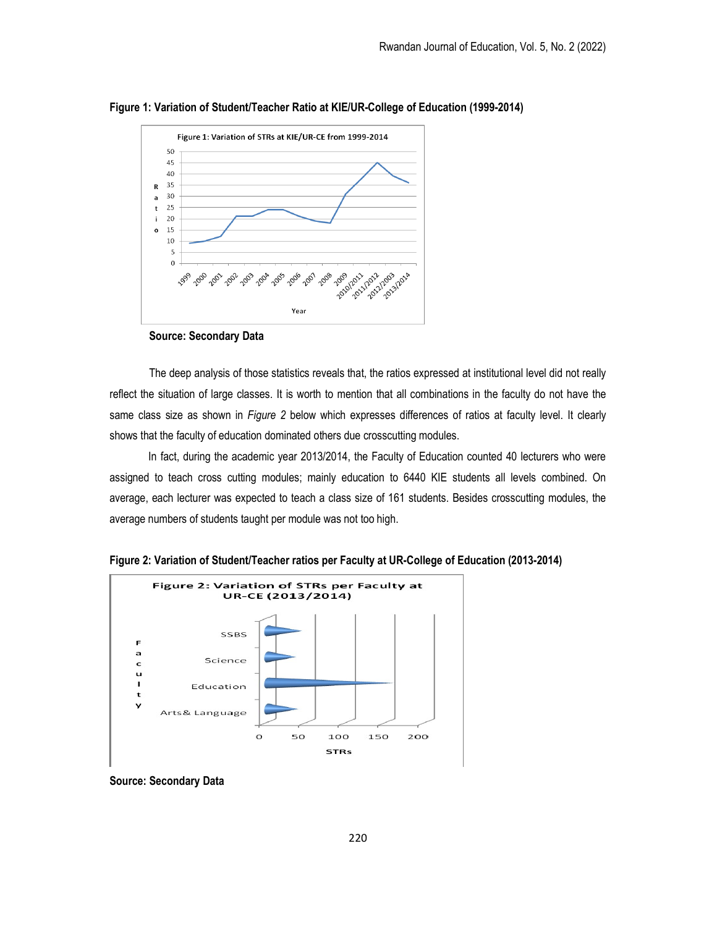



Source: Secondary Data

The deep analysis of those statistics reveals that, the ratios expressed at institutional level did not really reflect the situation of large classes. It is worth to mention that all combinations in the faculty do not have the same class size as shown in Figure 2 below which expresses differences of ratios at faculty level. It clearly shows that the faculty of education dominated others due crosscutting modules.

 In fact, during the academic year 2013/2014, the Faculty of Education counted 40 lecturers who were assigned to teach cross cutting modules; mainly education to 6440 KIE students all levels combined. On average, each lecturer was expected to teach a class size of 161 students. Besides crosscutting modules, the average numbers of students taught per module was not too high.



Figure 2: Variation of Student/Teacher ratios per Faculty at UR-College of Education (2013-2014)

Source: Secondary Data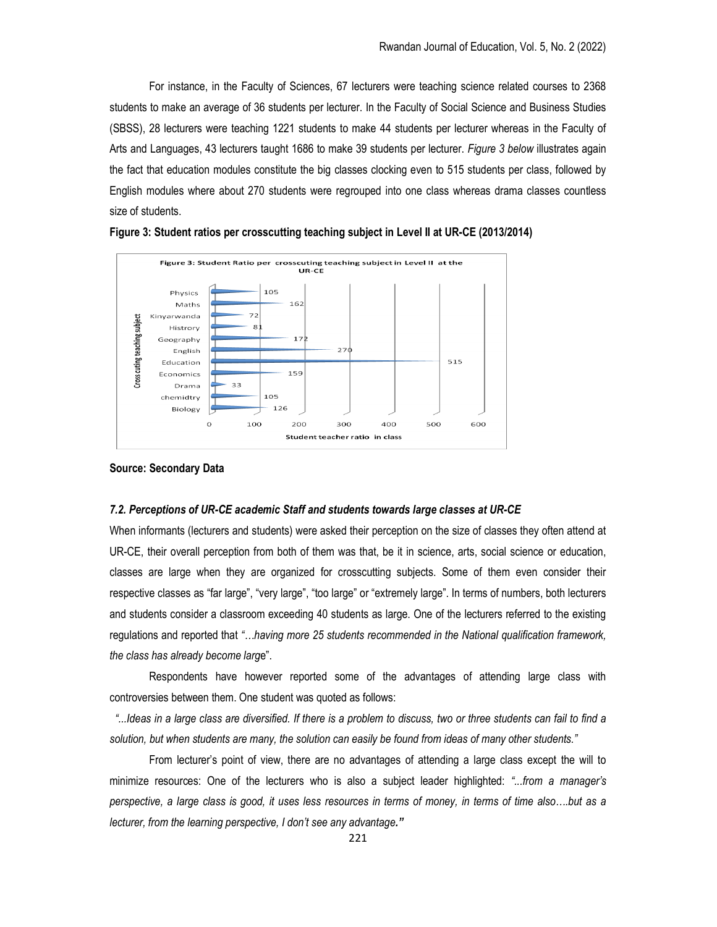For instance, in the Faculty of Sciences, 67 lecturers were teaching science related courses to 2368 students to make an average of 36 students per lecturer. In the Faculty of Social Science and Business Studies (SBSS), 28 lecturers were teaching 1221 students to make 44 students per lecturer whereas in the Faculty of Arts and Languages, 43 lecturers taught 1686 to make 39 students per lecturer. Figure 3 below illustrates again the fact that education modules constitute the big classes clocking even to 515 students per class, followed by English modules where about 270 students were regrouped into one class whereas drama classes countless size of students.



Figure 3: Student ratios per crosscutting teaching subject in Level II at UR-CE (2013/2014)

Source: Secondary Data

# 7.2. Perceptions of UR-CE academic Staff and students towards large classes at UR-CE

When informants (lecturers and students) were asked their perception on the size of classes they often attend at UR-CE, their overall perception from both of them was that, be it in science, arts, social science or education, classes are large when they are organized for crosscutting subjects. Some of them even consider their respective classes as "far large", "very large", "too large" or "extremely large". In terms of numbers, both lecturers and students consider a classroom exceeding 40 students as large. One of the lecturers referred to the existing regulations and reported that "…having more 25 students recommended in the National qualification framework, the class has already become large".

Respondents have however reported some of the advantages of attending large class with controversies between them. One student was quoted as follows:

 "...Ideas in a large class are diversified. If there is a problem to discuss, two or three students can fail to find a solution, but when students are many, the solution can easily be found from ideas of many other students."

From lecturer's point of view, there are no advantages of attending a large class except the will to minimize resources: One of the lecturers who is also a subject leader highlighted: "...from a manager's perspective, a large class is good, it uses less resources in terms of money, in terms of time also….but as a lecturer, from the learning perspective, I don't see any advantage."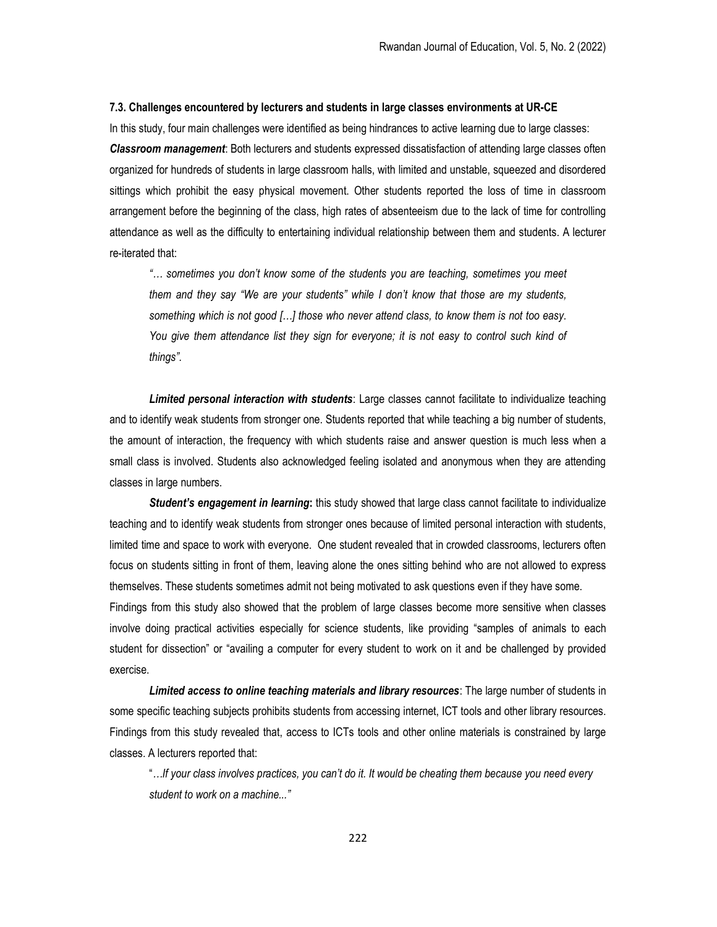#### 7.3. Challenges encountered by lecturers and students in large classes environments at UR-CE

In this study, four main challenges were identified as being hindrances to active learning due to large classes: **Classroom management**: Both lecturers and students expressed dissatisfaction of attending large classes often organized for hundreds of students in large classroom halls, with limited and unstable, squeezed and disordered sittings which prohibit the easy physical movement. Other students reported the loss of time in classroom arrangement before the beginning of the class, high rates of absenteeism due to the lack of time for controlling attendance as well as the difficulty to entertaining individual relationship between them and students. A lecturer re-iterated that:

"… sometimes you don't know some of the students you are teaching, sometimes you meet them and they say "We are your students" while I don't know that those are my students, something which is not good […] those who never attend class, to know them is not too easy. You give them attendance list they sign for everyone; it is not easy to control such kind of things".

**Limited personal interaction with students**: Large classes cannot facilitate to individualize teaching and to identify weak students from stronger one. Students reported that while teaching a big number of students, the amount of interaction, the frequency with which students raise and answer question is much less when a small class is involved. Students also acknowledged feeling isolated and anonymous when they are attending classes in large numbers.

Student's engagement in learning: this study showed that large class cannot facilitate to individualize teaching and to identify weak students from stronger ones because of limited personal interaction with students, limited time and space to work with everyone. One student revealed that in crowded classrooms, lecturers often focus on students sitting in front of them, leaving alone the ones sitting behind who are not allowed to express themselves. These students sometimes admit not being motivated to ask questions even if they have some. Findings from this study also showed that the problem of large classes become more sensitive when classes involve doing practical activities especially for science students, like providing "samples of animals to each student for dissection" or "availing a computer for every student to work on it and be challenged by provided exercise.

Limited access to online teaching materials and library resources: The large number of students in some specific teaching subjects prohibits students from accessing internet, ICT tools and other library resources. Findings from this study revealed that, access to ICTs tools and other online materials is constrained by large classes. A lecturers reported that:

"…If your class involves practices, you can't do it. It would be cheating them because you need every student to work on a machine..."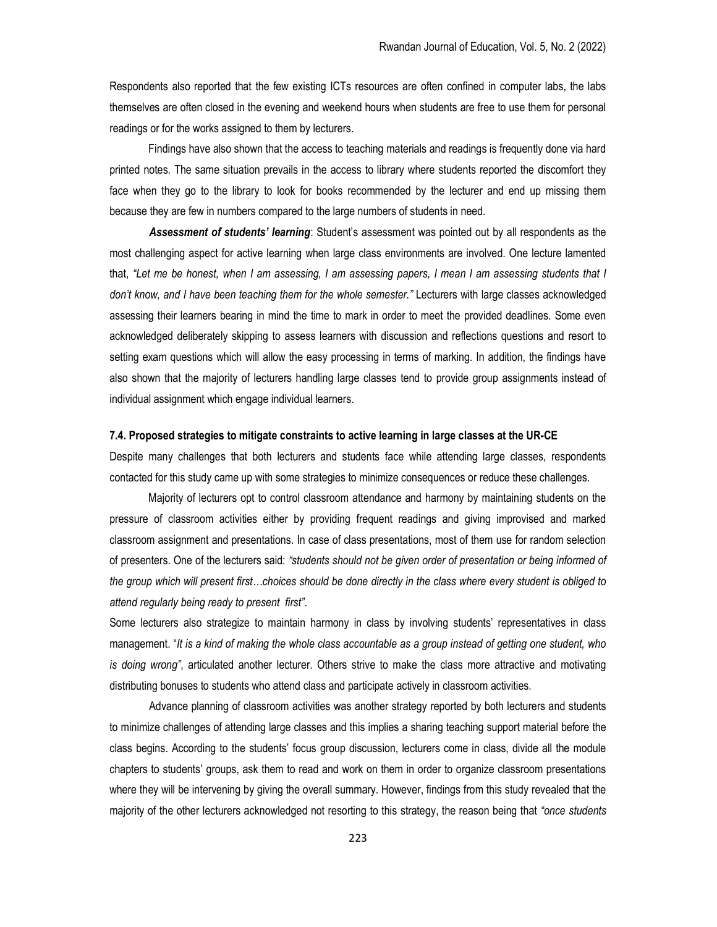Respondents also reported that the few existing ICTs resources are often confined in computer labs, the labs themselves are often closed in the evening and weekend hours when students are free to use them for personal readings or for the works assigned to them by lecturers.

 Findings have also shown that the access to teaching materials and readings is frequently done via hard printed notes. The same situation prevails in the access to library where students reported the discomfort they face when they go to the library to look for books recommended by the lecturer and end up missing them because they are few in numbers compared to the large numbers of students in need.

Assessment of students' learning: Student's assessment was pointed out by all respondents as the most challenging aspect for active learning when large class environments are involved. One lecture lamented that, "Let me be honest, when I am assessing, I am assessing papers, I mean I am assessing students that I don't know, and I have been teaching them for the whole semester." Lecturers with large classes acknowledged assessing their learners bearing in mind the time to mark in order to meet the provided deadlines. Some even acknowledged deliberately skipping to assess learners with discussion and reflections questions and resort to setting exam questions which will allow the easy processing in terms of marking. In addition, the findings have also shown that the majority of lecturers handling large classes tend to provide group assignments instead of individual assignment which engage individual learners.

#### 7.4. Proposed strategies to mitigate constraints to active learning in large classes at the UR-CE

Despite many challenges that both lecturers and students face while attending large classes, respondents contacted for this study came up with some strategies to minimize consequences or reduce these challenges.

 Majority of lecturers opt to control classroom attendance and harmony by maintaining students on the pressure of classroom activities either by providing frequent readings and giving improvised and marked classroom assignment and presentations. In case of class presentations, most of them use for random selection of presenters. One of the lecturers said: "students should not be given order of presentation or being informed of the group which will present first…choices should be done directly in the class where every student is obliged to attend regularly being ready to present first".

Some lecturers also strategize to maintain harmony in class by involving students' representatives in class management. "It is a kind of making the whole class accountable as a group instead of getting one student, who is doing wrong", articulated another lecturer. Others strive to make the class more attractive and motivating distributing bonuses to students who attend class and participate actively in classroom activities.

Advance planning of classroom activities was another strategy reported by both lecturers and students to minimize challenges of attending large classes and this implies a sharing teaching support material before the class begins. According to the students' focus group discussion, lecturers come in class, divide all the module chapters to students' groups, ask them to read and work on them in order to organize classroom presentations where they will be intervening by giving the overall summary. However, findings from this study revealed that the majority of the other lecturers acknowledged not resorting to this strategy, the reason being that "once students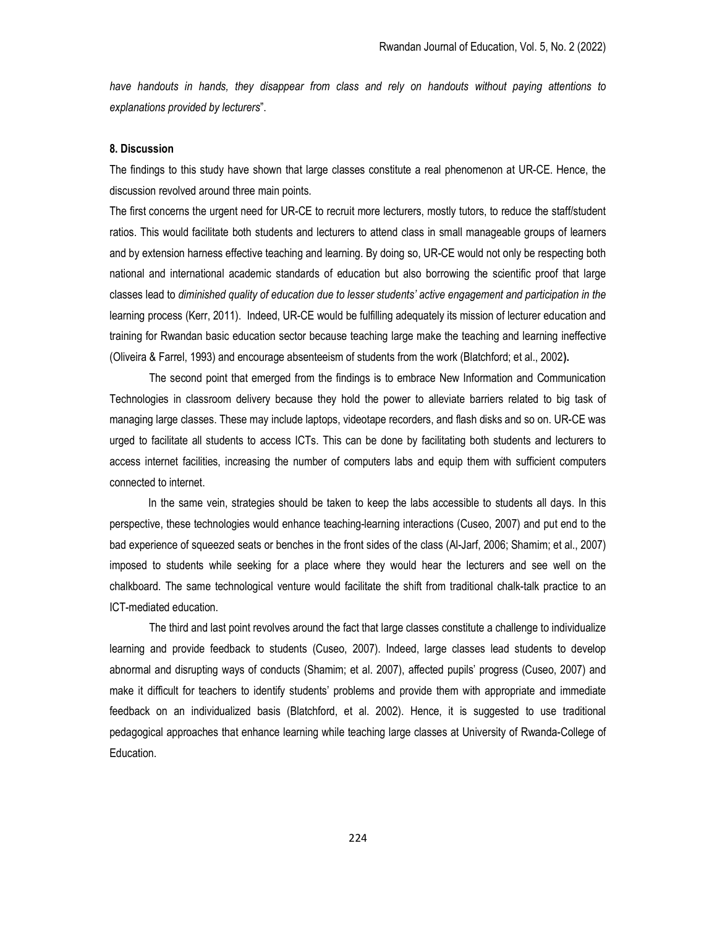have handouts in hands, they disappear from class and rely on handouts without paying attentions to explanations provided by lecturers".

# 8. Discussion

The findings to this study have shown that large classes constitute a real phenomenon at UR-CE. Hence, the discussion revolved around three main points.

The first concerns the urgent need for UR-CE to recruit more lecturers, mostly tutors, to reduce the staff/student ratios. This would facilitate both students and lecturers to attend class in small manageable groups of learners and by extension harness effective teaching and learning. By doing so, UR-CE would not only be respecting both national and international academic standards of education but also borrowing the scientific proof that large classes lead to diminished quality of education due to lesser students' active engagement and participation in the learning process (Kerr, 2011). Indeed, UR-CE would be fulfilling adequately its mission of lecturer education and training for Rwandan basic education sector because teaching large make the teaching and learning ineffective (Oliveira & Farrel, 1993) and encourage absenteeism of students from the work (Blatchford; et al., 2002).

The second point that emerged from the findings is to embrace New Information and Communication Technologies in classroom delivery because they hold the power to alleviate barriers related to big task of managing large classes. These may include laptops, videotape recorders, and flash disks and so on. UR-CE was urged to facilitate all students to access ICTs. This can be done by facilitating both students and lecturers to access internet facilities, increasing the number of computers labs and equip them with sufficient computers connected to internet.

 In the same vein, strategies should be taken to keep the labs accessible to students all days. In this perspective, these technologies would enhance teaching-learning interactions (Cuseo, 2007) and put end to the bad experience of squeezed seats or benches in the front sides of the class (Al-Jarf, 2006; Shamim; et al., 2007) imposed to students while seeking for a place where they would hear the lecturers and see well on the chalkboard. The same technological venture would facilitate the shift from traditional chalk-talk practice to an ICT-mediated education.

The third and last point revolves around the fact that large classes constitute a challenge to individualize learning and provide feedback to students (Cuseo, 2007). Indeed, large classes lead students to develop abnormal and disrupting ways of conducts (Shamim; et al. 2007), affected pupils' progress (Cuseo, 2007) and make it difficult for teachers to identify students' problems and provide them with appropriate and immediate feedback on an individualized basis (Blatchford, et al. 2002). Hence, it is suggested to use traditional pedagogical approaches that enhance learning while teaching large classes at University of Rwanda-College of Education.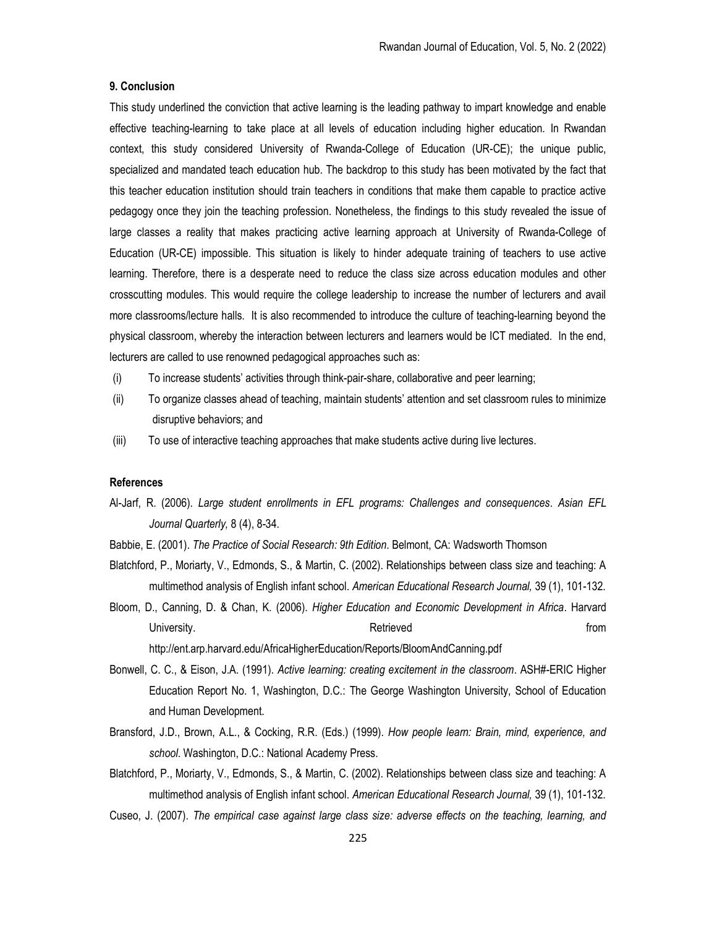# 9. Conclusion

This study underlined the conviction that active learning is the leading pathway to impart knowledge and enable effective teaching-learning to take place at all levels of education including higher education. In Rwandan context, this study considered University of Rwanda-College of Education (UR-CE); the unique public, specialized and mandated teach education hub. The backdrop to this study has been motivated by the fact that this teacher education institution should train teachers in conditions that make them capable to practice active pedagogy once they join the teaching profession. Nonetheless, the findings to this study revealed the issue of large classes a reality that makes practicing active learning approach at University of Rwanda-College of Education (UR-CE) impossible. This situation is likely to hinder adequate training of teachers to use active learning. Therefore, there is a desperate need to reduce the class size across education modules and other crosscutting modules. This would require the college leadership to increase the number of lecturers and avail more classrooms/lecture halls. It is also recommended to introduce the culture of teaching-learning beyond the physical classroom, whereby the interaction between lecturers and learners would be ICT mediated. In the end, lecturers are called to use renowned pedagogical approaches such as:

- (i) To increase students' activities through think-pair-share, collaborative and peer learning;
- (ii) To organize classes ahead of teaching, maintain students' attention and set classroom rules to minimize disruptive behaviors; and
- (iii) To use of interactive teaching approaches that make students active during live lectures.

# References

- Al-Jarf, R. (2006). Large student enrollments in EFL programs: Challenges and consequences. Asian EFL Journal Quarterly, 8 (4), 8-34.
- Babbie, E. (2001). The Practice of Social Research: 9th Edition. Belmont, CA: Wadsworth Thomson
- Blatchford, P., Moriarty, V., Edmonds, S., & Martin, C. (2002). Relationships between class size and teaching: A multimethod analysis of English infant school. American Educational Research Journal, 39 (1), 101-132.
- Bloom, D., Canning, D. & Chan, K. (2006). Higher Education and Economic Development in Africa. Harvard University. The contract of the contract of the contract of the contract of the contract of the contract of the contract of the contract of the contract of the contract of the contract of the contract of the contract of th http://ent.arp.harvard.edu/AfricaHigherEducation/Reports/BloomAndCanning.pdf
- Bonwell, C. C., & Eison, J.A. (1991). Active learning: creating excitement in the classroom. ASH#-ERIC Higher Education Report No. 1, Washington, D.C.: The George Washington University, School of Education and Human Development.
- Bransford, J.D., Brown, A.L., & Cocking, R.R. (Eds.) (1999). How people leam: Brain, mind, experience, and school. Washington, D.C.: National Academy Press.
- Blatchford, P., Moriarty, V., Edmonds, S., & Martin, C. (2002). Relationships between class size and teaching: A multimethod analysis of English infant school. American Educational Research Journal, 39 (1), 101-132.
- Cuseo, J. (2007). The empirical case against large class size: adverse effects on the teaching, learning, and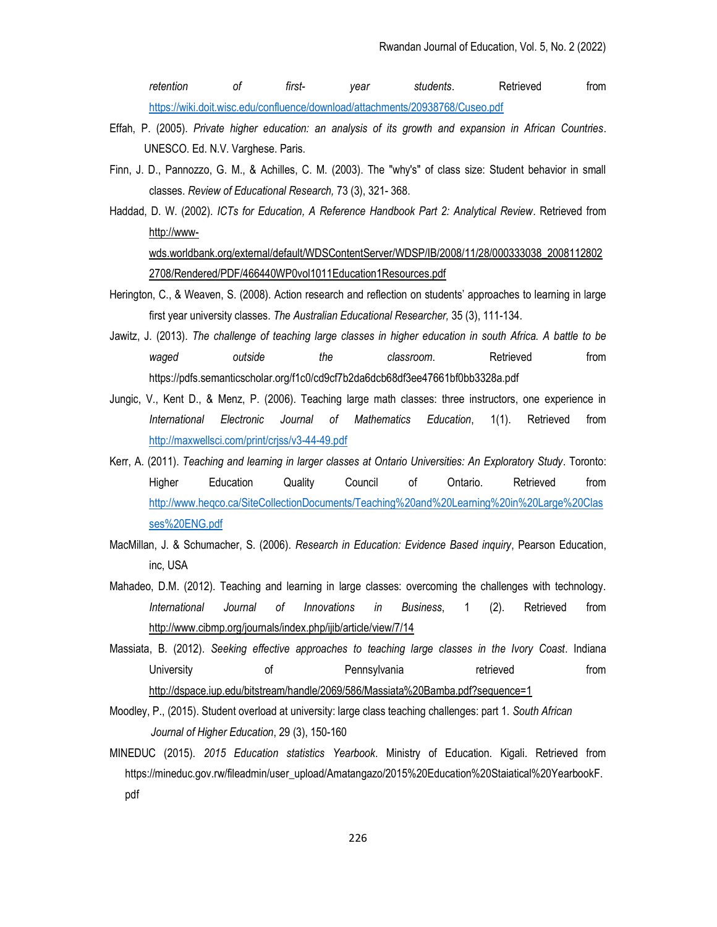retention of first- year students. Retrieved from https://wiki.doit.wisc.edu/confluence/download/attachments/20938768/Cuseo.pdf

- Effah, P. (2005). Private higher education: an analysis of its growth and expansion in African Countries. UNESCO. Ed. N.V. Varghese. Paris.
- Finn, J. D., Pannozzo, G. M., & Achilles, C. M. (2003). The "why's" of class size: Student behavior in small classes. Review of Educational Research, 73 (3), 321- 368.
- Haddad, D. W. (2002). ICTs for Education, A Reference Handbook Part 2: Analytical Review. Retrieved from http://wwwwds.worldbank.org/external/default/WDSContentServer/WDSP/IB/2008/11/28/000333038\_2008112802 2708/Rendered/PDF/466440WP0vol1011Education1Resources.pdf
- Herington, C., & Weaven, S. (2008). Action research and reflection on students' approaches to learning in large first year university classes. The Australian Educational Researcher, 35 (3), 111-134.
- Jawitz, J. (2013). The challenge of teaching large classes in higher education in south Africa. A battle to be waged outside the classroom. Retrieved from https://pdfs.semanticscholar.org/f1c0/cd9cf7b2da6dcb68df3ee47661bf0bb3328a.pdf
- Jungic, V., Kent D., & Menz, P. (2006). Teaching large math classes: three instructors, one experience in International Electronic Journal of Mathematics Education, 1(1). Retrieved from http://maxwellsci.com/print/crjss/v3-44-49.pdf
- Kerr, A. (2011). Teaching and learning in larger classes at Ontario Universities: An Exploratory Study. Toronto: Higher Education Quality Council of Ontario. Retrieved from http://www.heqco.ca/SiteCollectionDocuments/Teaching%20and%20Learning%20in%20Large%20Clas ses%20ENG.pdf
- MacMillan, J. & Schumacher, S. (2006). Research in Education: Evidence Based inquiry, Pearson Education, inc, USA
- Mahadeo, D.M. (2012). Teaching and learning in large classes: overcoming the challenges with technology. International Journal of Innovations in Business, 1 (2). Retrieved from http://www.cibmp.org/journals/index.php/ijib/article/view/7/14
- Massiata, B. (2012). Seeking effective approaches to teaching large classes in the Ivory Coast. Indiana University of Pennsylvania retrieved from http://dspace.iup.edu/bitstream/handle/2069/586/Massiata%20Bamba.pdf?sequence=1
- Moodley, P., (2015). Student overload at university: large class teaching challenges: part 1. South African Journal of Higher Education, 29 (3), 150-160
- MINEDUC (2015). 2015 Education statistics Yearbook. Ministry of Education. Kigali. Retrieved from https://mineduc.gov.rw/fileadmin/user\_upload/Amatangazo/2015%20Education%20Staiatical%20YearbookF. pdf